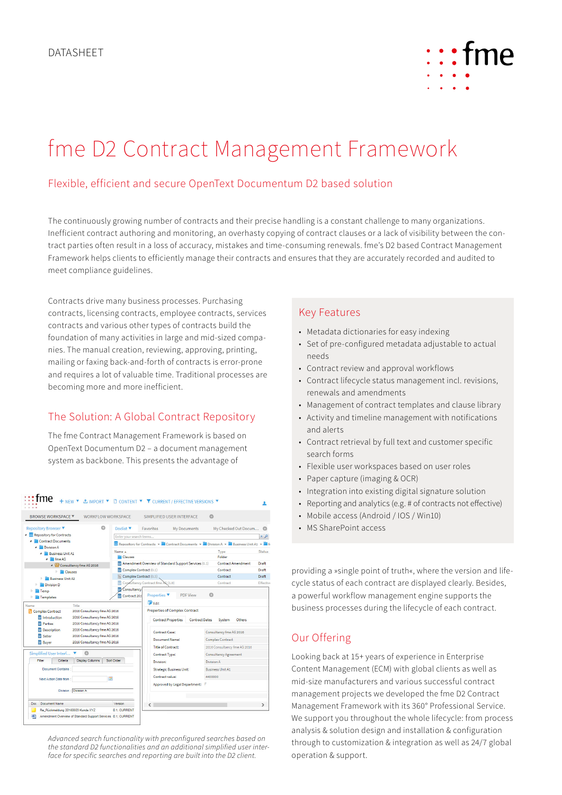

# fme D2 Contract Management Framework

## Flexible, efficient and secure OpenText Documentum D2 based solution

The continuously growing number of contracts and their precise handling is a constant challenge to many organizations. Inefficient contract authoring and monitoring, an overhasty copying of contract clauses or a lack of visibility between the contract parties often result in a loss of accuracy, mistakes and time-consuming renewals. fme's D2 based Contract Management Framework helps clients to efficiently manage their contracts and ensures that they are accurately recorded and audited to meet compliance guidelines.

Contracts drive many business processes. Purchasing contracts, licensing contracts, employee contracts, services contracts and various other types of contracts build the foundation of many activities in large and mid-sized companies. The manual creation, reviewing, approving, printing, mailing or faxing back-and-forth of contracts is error-prone and requires a lot of valuable time. Traditional processes are becoming more and more inefficient.

## The Solution: A Global Contract Repository

The fme Contract Management Framework is based on OpenText Documentum D2 – a document management system as backbone. This presents the advantage of

| $:$ fme                                                                                                                                                                                                                                                   |                                 | + NEW ▼ ± IMPORT ▼ D CONTENT ▼ V CURRENT / EFFECTIVE VERSIONS ▼                 |                                           |                                                    |  |  |
|-----------------------------------------------------------------------------------------------------------------------------------------------------------------------------------------------------------------------------------------------------------|---------------------------------|---------------------------------------------------------------------------------|-------------------------------------------|----------------------------------------------------|--|--|
| <b>BROWSE WORKSPACE ▼</b>                                                                                                                                                                                                                                 | <b>WORKELOW WORKSPACE</b>       | SIMPLIFIED USER INTERFACE                                                       | $\circ$                                   |                                                    |  |  |
| <b>Repository Browser</b> ▼                                                                                                                                                                                                                               | o<br>Doclist <b>V</b>           | <b>Eavorites</b><br>My Documents                                                | My Checked Out Docum                      | e                                                  |  |  |
| Repository for Contracts                                                                                                                                                                                                                                  | Enter your search terms         |                                                                                 |                                           | $Q \times$                                         |  |  |
| <b>Contract Documents</b>                                                                                                                                                                                                                                 |                                 | Repository for Contracts > Contract Documents > Division A > Business Unit A1 > |                                           |                                                    |  |  |
| Division A<br><b>Business Unit At</b>                                                                                                                                                                                                                     | Name A                          |                                                                                 | Type                                      | Status                                             |  |  |
| 4 fme AG                                                                                                                                                                                                                                                  | <b>Clauses</b>                  |                                                                                 | <b>Folder</b>                             |                                                    |  |  |
| Gonsultancy fme AG 2016                                                                                                                                                                                                                                   |                                 | Amendment Overview of Standard Support Services (0.1)                           | <b>Contract Amendment</b>                 | Draft                                              |  |  |
| Clauses                                                                                                                                                                                                                                                   | <b>M</b> Complex Contract (0.1) |                                                                                 | Contract                                  | Draft                                              |  |  |
| <b>Business Unit A2</b>                                                                                                                                                                                                                                   | Complex Contract (0.3)          |                                                                                 | Contract                                  | Draft                                              |  |  |
| Division D                                                                                                                                                                                                                                                |                                 | Consultancy Contract fme AG (1.0)                                               | Contract                                  | Effective                                          |  |  |
| Temp                                                                                                                                                                                                                                                      | <b>Consultancy</b>              |                                                                                 |                                           |                                                    |  |  |
| Templates                                                                                                                                                                                                                                                 | Contract 201                    | Properties ▼<br><b>PDF View</b>                                                 | ര                                         |                                                    |  |  |
| Name<br>Title                                                                                                                                                                                                                                             |                                 | <b>Execut</b>                                                                   |                                           |                                                    |  |  |
| 2016 Consultancy fme AG 2016<br><b>Complex Contract</b><br>2016 Consultancy fme AG 2016<br><b>W</b> Introduction                                                                                                                                          |                                 | <b>Properties of Complex Contract</b>                                           |                                           |                                                    |  |  |
|                                                                                                                                                                                                                                                           |                                 | <b>Contract Properties</b>                                                      | <b>Contract Dates</b><br>System<br>Others |                                                    |  |  |
| 2016 Consultancy fme AG 2016<br>Parties                                                                                                                                                                                                                   |                                 |                                                                                 |                                           |                                                    |  |  |
| 2016 Consultancy fme AG 2016<br><b>IV</b> Description<br>2016 Consultancy fme AG 2016<br><b>w</b> Seller<br>2016 Consultancy fme AG 2016<br><b>W</b> Buyer<br>e<br>Simplified User Interf ▼<br>Sort Order<br>Filter<br>Criteria<br><b>Display Columns</b> |                                 | Contract Case:<br>Document Name:                                                |                                           | Consultancy fme AG 2016<br><b>Complex Contract</b> |  |  |
|                                                                                                                                                                                                                                                           |                                 |                                                                                 |                                           |                                                    |  |  |
|                                                                                                                                                                                                                                                           |                                 |                                                                                 |                                           |                                                    |  |  |
|                                                                                                                                                                                                                                                           |                                 | <b>Title of Contract:</b>                                                       | 2016 Consultancy fme AG 2016              |                                                    |  |  |
|                                                                                                                                                                                                                                                           |                                 | <b>Contract Type:</b>                                                           | <b>Consultancy Agreement</b>              |                                                    |  |  |
|                                                                                                                                                                                                                                                           |                                 | Division:                                                                       | Division A                                |                                                    |  |  |
| <b>Document Contains:</b>                                                                                                                                                                                                                                 |                                 | <b>Strategic Business Unit:</b>                                                 | <b>Business Unit A1</b>                   |                                                    |  |  |
| 글<br>Next Action Date from:                                                                                                                                                                                                                               |                                 | Contract value:                                                                 | 4400000                                   |                                                    |  |  |
| Division : Division A                                                                                                                                                                                                                                     |                                 | Approved by Legal Department:                                                   | F                                         |                                                    |  |  |
|                                                                                                                                                                                                                                                           |                                 |                                                                                 |                                           |                                                    |  |  |
| <b>Document Name</b><br><b>Doc</b>                                                                                                                                                                                                                        | Version                         | $\overline{\phantom{a}}$                                                        |                                           | $\mathbf{r}$                                       |  |  |

*Advanced search functionality with preconfigured searches based on the standard D2 functionalities and an additional simplified user interface for specific searches and reporting are built into the D2 client.*

#### Key Features

- Metadata dictionaries for easy indexing
- Set of pre-configured metadata adjustable to actual needs
- • Contract review and approval workflows
- Contract lifecycle status management incl. revisions, renewals and amendments
- Management of contract templates and clause library
- • Activity and timeline management with notifications and alerts
- • Contract retrieval by full text and customer specific search forms
- Flexible user workspaces based on user roles
- • Paper capture (imaging & OCR)
- Integration into existing digital signature solution
- Reporting and analytics (e.g. # of contracts not effective)
- Mobile access (Android / IOS / Win10)
- • MS SharePoint access

providing a »single point of truth«, where the version and lifecycle status of each contract are displayed clearly. Besides, a powerful workflow management engine supports the business processes during the lifecycle of each contract.

# Our Offering

Looking back at 15+ years of experience in Enterprise Content Management (ECM) with global clients as well as mid-size manufacturers and various successful contract management projects we developed the fme D2 Contract Management Framework with its 360° Professional Service. We support you throughout the whole lifecycle: from process analysis & solution design and installation & configuration through to customization & integration as well as 24/7 global operation & support.